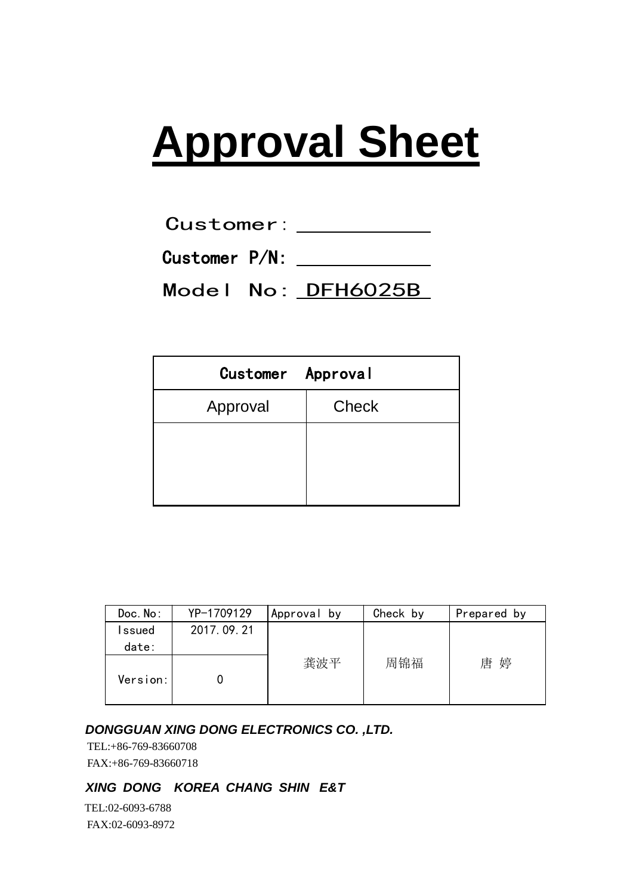# **Approval Sheet**

| <b>Customer:</b> |  |
|------------------|--|

Customer P/N:

Model No: DFH6025B

| Customer Approval |              |  |  |
|-------------------|--------------|--|--|
| Approval          | <b>Check</b> |  |  |
|                   |              |  |  |
|                   |              |  |  |
|                   |              |  |  |

| Doc. No: | YP-1709129 | Approval by | Check by | Prepared by |
|----------|------------|-------------|----------|-------------|
| Issued   | 2017.09.21 |             |          |             |
| date:    |            |             |          |             |
| Version: |            | 龚波平         | 周锦福      | 婷<br>唐      |

### *DONGGUAN XING DONG ELECTRONICS CO. ,LTD.*

 TEL:+86-769-83660708 FAX:+86-769-83660718

## *XING DONG KOREA CHANG SHIN E&T*

 TEL:02-6093-6788 FAX:02-6093-8972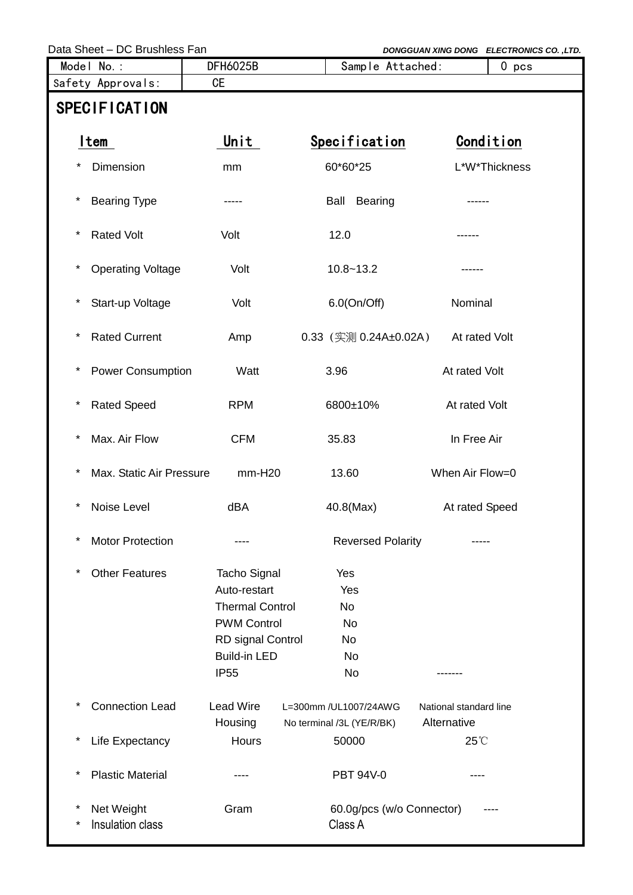Data Sheet – DC Brushless Fan **DONGGUAN** *DONGGUAN XING DONG ELECTRONICS CO.*, LTD.

| Model No.:                                             | <b>DFH6025B</b>                                                                                                                                | Sample Attached:                                       | 0 <sub>pos</sub>                      |  |  |
|--------------------------------------------------------|------------------------------------------------------------------------------------------------------------------------------------------------|--------------------------------------------------------|---------------------------------------|--|--|
| Safety Approvals:                                      | <b>CE</b>                                                                                                                                      |                                                        |                                       |  |  |
| <b>SPECIFICATION</b>                                   |                                                                                                                                                |                                                        |                                       |  |  |
| ltem                                                   | Unit                                                                                                                                           | Specification                                          | Condition                             |  |  |
| Dimension<br>*                                         | mm                                                                                                                                             | 60*60*25                                               | L*W*Thickness                         |  |  |
| $\ast$<br><b>Bearing Type</b>                          |                                                                                                                                                | <b>Bearing</b><br>Ball                                 |                                       |  |  |
| $\ast$<br><b>Rated Volt</b>                            | Volt                                                                                                                                           | 12.0                                                   | ------                                |  |  |
| $\ast$<br><b>Operating Voltage</b>                     | Volt                                                                                                                                           | $10.8 - 13.2$                                          |                                       |  |  |
| $^\star$<br>Start-up Voltage                           | Volt                                                                                                                                           | $6.0$ (On/Off)                                         | Nominal                               |  |  |
| $\ast$<br><b>Rated Current</b>                         | Amp                                                                                                                                            | $0.33$ (实测 0.24A±0.02A)                                | At rated Volt                         |  |  |
| $\ast$<br><b>Power Consumption</b>                     | Watt                                                                                                                                           | 3.96                                                   | At rated Volt                         |  |  |
| $\ast$<br><b>Rated Speed</b>                           | <b>RPM</b>                                                                                                                                     | 6800±10%                                               | At rated Volt                         |  |  |
| $\ast$<br>Max. Air Flow                                | <b>CFM</b>                                                                                                                                     | 35.83                                                  | In Free Air                           |  |  |
| $\ast$<br>Max. Static Air Pressure                     | $mm-H20$                                                                                                                                       | 13.60                                                  | When Air Flow=0                       |  |  |
| $\ast$<br>Noise Level                                  | dBA                                                                                                                                            | 40.8(Max)                                              | At rated Speed                        |  |  |
| $\ast$<br><b>Motor Protection</b>                      |                                                                                                                                                | <b>Reversed Polarity</b>                               |                                       |  |  |
| $\ast$<br><b>Other Features</b>                        | <b>Tacho Signal</b><br>Auto-restart<br><b>Thermal Control</b><br><b>PWM Control</b><br>RD signal Control<br><b>Build-in LED</b><br><b>IP55</b> | Yes<br>Yes<br><b>No</b><br>No<br>No<br><b>No</b><br>No |                                       |  |  |
| $\ast$<br><b>Connection Lead</b>                       | <b>Lead Wire</b><br>Housing                                                                                                                    | L=300mm /UL1007/24AWG<br>No terminal /3L (YE/R/BK)     | National standard line<br>Alternative |  |  |
| $\ast$<br>Life Expectancy                              | Hours                                                                                                                                          | 50000                                                  | 25°C                                  |  |  |
| $\ast$<br><b>Plastic Material</b>                      |                                                                                                                                                | PBT 94V-0                                              |                                       |  |  |
| $^\star$<br>Net Weight<br>Insulation class<br>$^\star$ | Gram                                                                                                                                           | 60.0g/pcs (w/o Connector)<br>Class A                   |                                       |  |  |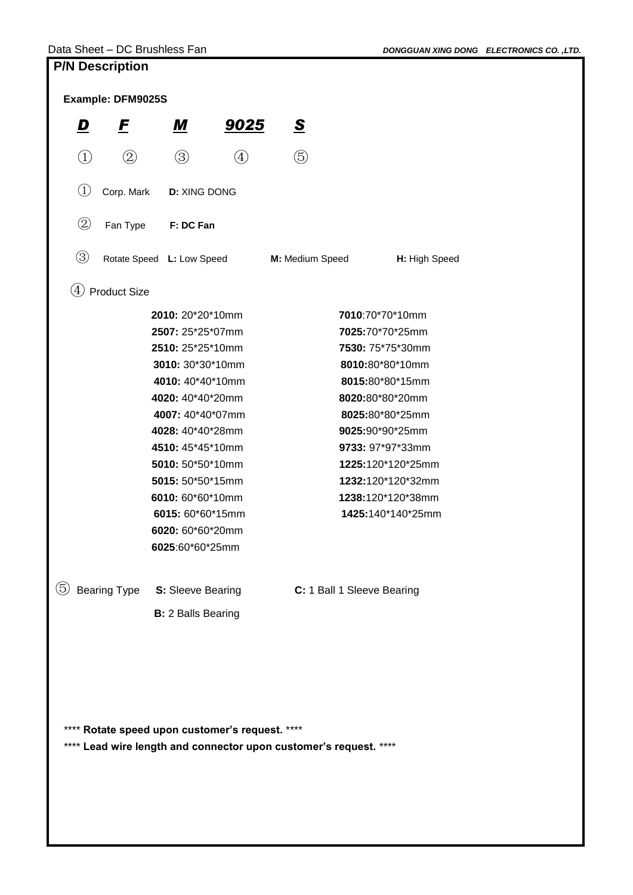| <b>LIJA DESAI INIINII</b>                                           |                           |                           |                                   |                                                                   |                   |  |
|---------------------------------------------------------------------|---------------------------|---------------------------|-----------------------------------|-------------------------------------------------------------------|-------------------|--|
| Example: DFM9025S                                                   |                           |                           |                                   |                                                                   |                   |  |
| D                                                                   | $\bm{E}$                  | <u>М</u>                  | <u>9025</u>                       | $\overline{\mathbf{S}}$                                           |                   |  |
| $\begin{pmatrix} 1 \end{pmatrix}$                                   | $\circled{2}$             | $\circledS$               | $\begin{pmatrix} 4 \end{pmatrix}$ | $\circledS$                                                       |                   |  |
| $\left(1\right)$                                                    | Corp. Mark                | <b>D: XING DONG</b>       |                                   |                                                                   |                   |  |
| $^{\small{\textcircled{\small{2}}}}$                                | Fan Type                  | F: DC Fan                 |                                   |                                                                   |                   |  |
| $\circledS$                                                         | Rotate Speed L: Low Speed |                           |                                   | M: Medium Speed                                                   | H: High Speed     |  |
| $\left( 4\right)$                                                   | <b>Product Size</b>       |                           |                                   |                                                                   |                   |  |
|                                                                     |                           | 2010: 20*20*10mm          |                                   |                                                                   | 7010:70*70*10mm   |  |
|                                                                     |                           | 2507: 25*25*07mm          |                                   |                                                                   | 7025:70*70*25mm   |  |
|                                                                     |                           | 2510: 25*25*10mm          |                                   |                                                                   | 7530: 75*75*30mm  |  |
|                                                                     |                           | 3010: 30*30*10mm          |                                   |                                                                   | 8010:80*80*10mm   |  |
|                                                                     |                           |                           |                                   |                                                                   |                   |  |
|                                                                     |                           | 4010: 40*40*10mm          |                                   |                                                                   | 8015:80*80*15mm   |  |
|                                                                     |                           | 4020: 40*40*20mm          |                                   |                                                                   | 8020:80*80*20mm   |  |
|                                                                     |                           | 4007: 40*40*07mm          |                                   |                                                                   | 8025:80*80*25mm   |  |
|                                                                     |                           | 4028: 40*40*28mm          |                                   |                                                                   | 9025:90*90*25mm   |  |
| 4510: 45*45*10mm<br>9733: 97*97*33mm                                |                           |                           |                                   |                                                                   |                   |  |
|                                                                     |                           | 5010: 50*50*10mm          |                                   |                                                                   | 1225:120*120*25mm |  |
| 5015: 50*50*15mm<br>1232:120*120*32mm                               |                           |                           |                                   |                                                                   |                   |  |
|                                                                     |                           | 6010: 60*60*10mm          |                                   |                                                                   | 1238:120*120*38mm |  |
|                                                                     |                           | 6015: 60*60*15mm          |                                   |                                                                   | 1425:140*140*25mm |  |
| 6020: 60*60*20mm                                                    |                           |                           |                                   |                                                                   |                   |  |
|                                                                     |                           | 6025:60*60*25mm           |                                   |                                                                   |                   |  |
| (5)<br>Bearing Type S: Sleeve Bearing<br>C: 1 Ball 1 Sleeve Bearing |                           |                           |                                   |                                                                   |                   |  |
|                                                                     |                           | <b>B:</b> 2 Balls Bearing |                                   |                                                                   |                   |  |
|                                                                     |                           |                           |                                   |                                                                   |                   |  |
|                                                                     |                           |                           |                                   |                                                                   |                   |  |
| **** Rotate speed upon customer's request. ****                     |                           |                           |                                   |                                                                   |                   |  |
|                                                                     |                           |                           |                                   |                                                                   |                   |  |
|                                                                     |                           |                           |                                   | **** Lead wire length and connector upon customer's request. **** |                   |  |
|                                                                     |                           |                           |                                   |                                                                   |                   |  |
|                                                                     |                           |                           |                                   |                                                                   |                   |  |
|                                                                     |                           |                           |                                   |                                                                   |                   |  |
|                                                                     |                           |                           |                                   |                                                                   |                   |  |
|                                                                     |                           |                           |                                   |                                                                   |                   |  |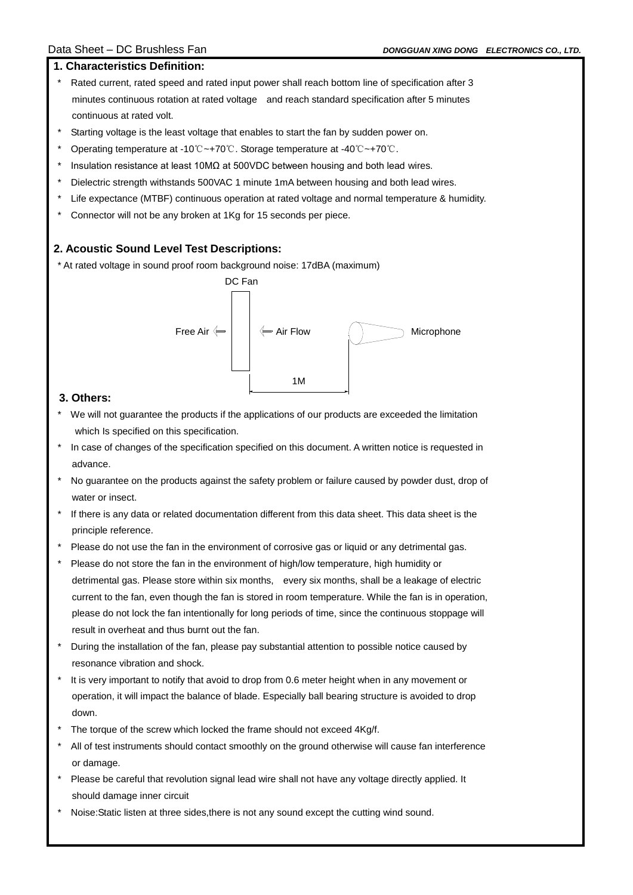#### **1. Characteristics Definition:**

- Rated current, rated speed and rated input power shall reach bottom line of specification after 3 minutes continuous rotation at rated voltage and reach standard specification after 5 minutes continuous at rated volt.
- Starting voltage is the least voltage that enables to start the fan by sudden power on.
- \* Operating temperature at -10℃~+70℃. Storage temperature at -40℃~+70℃.
- Insulation resistance at least 10MΩ at 500VDC between housing and both lead wires.
- Dielectric strength withstands 500VAC 1 minute 1mA between housing and both lead wires.
- Life expectance (MTBF) continuous operation at rated voltage and normal temperature & humidity.
- Connector will not be any broken at 1Kg for 15 seconds per piece.

#### **2. Acoustic Sound Level Test Descriptions:**

\* At rated voltage in sound proof room background noise: 17dBA (maximum)



#### **3. Others:**

I

- We will not guarantee the products if the applications of our products are exceeded the limitation which Is specified on this specification.
- In case of changes of the specification specified on this document. A written notice is requested in advance.
- No guarantee on the products against the safety problem or failure caused by powder dust, drop of water or insect.
- If there is any data or related documentation different from this data sheet. This data sheet is the principle reference.
- Please do not use the fan in the environment of corrosive gas or liquid or any detrimental gas.
- Please do not store the fan in the environment of high/low temperature, high humidity or detrimental gas. Please store within six months, every six months, shall be a leakage of electric current to the fan, even though the fan is stored in room temperature. While the fan is in operation, please do not lock the fan intentionally for long periods of time, since the continuous stoppage will result in overheat and thus burnt out the fan.
- During the installation of the fan, please pay substantial attention to possible notice caused by resonance vibration and shock.
- It is very important to notify that avoid to drop from 0.6 meter height when in any movement or operation, it will impact the balance of blade. Especially ball bearing structure is avoided to drop down.
- The torque of the screw which locked the frame should not exceed 4Kg/f.
- All of test instruments should contact smoothly on the ground otherwise will cause fan interference or damage.
- Please be careful that revolution signal lead wire shall not have any voltage directly applied. It should damage inner circuit
- Noise:Static listen at three sides, there is not any sound except the cutting wind sound.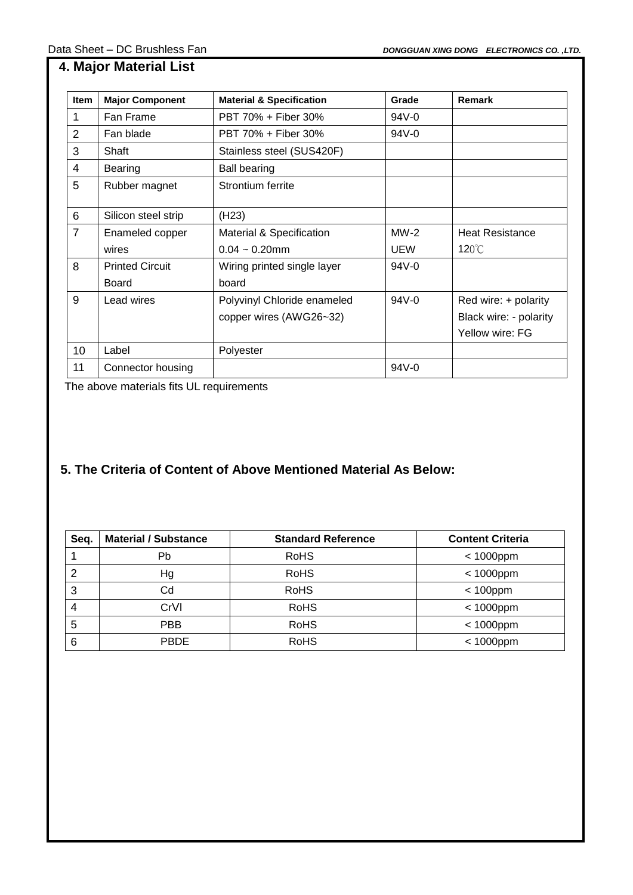| <b>Item</b>    | <b>Major Component</b> | <b>Material &amp; Specification</b> | Grade      | Remark                 |
|----------------|------------------------|-------------------------------------|------------|------------------------|
| 1              | Fan Frame              | PBT 70% + Fiber 30%                 | 94V-0      |                        |
| 2              | Fan blade              | PBT 70% + Fiber 30%                 | 94V-0      |                        |
| 3              | Shaft                  | Stainless steel (SUS420F)           |            |                        |
| 4              | Bearing                | <b>Ball bearing</b>                 |            |                        |
| 5              | Rubber magnet          | Strontium ferrite                   |            |                        |
| 6              | Silicon steel strip    | (H23)                               |            |                        |
| $\overline{7}$ | Enameled copper        | Material & Specification            | $MW-2$     | <b>Heat Resistance</b> |
|                | wires                  | $0.04 \sim 0.20$ mm                 | <b>UEW</b> | $120^{\circ}$ C        |
| 8              | <b>Printed Circuit</b> | Wiring printed single layer         | 94V-0      |                        |
|                | <b>Board</b>           | board                               |            |                        |
| 9              | Lead wires             | Polyvinyl Chloride enameled         | $94V - 0$  | Red wire: + polarity   |
|                |                        | copper wires (AWG26~32)             |            | Black wire: - polarity |
|                |                        |                                     |            | Yellow wire: FG        |
| 10             | Label                  | Polyester                           |            |                        |
| 11             | Connector housing      |                                     | 94V-0      |                        |

The above materials fits UL requirements

I

# **5. The Criteria of Content of Above Mentioned Material As Below:**

| Seq. | <b>Material / Substance</b> | <b>Standard Reference</b> | <b>Content Criteria</b> |
|------|-----------------------------|---------------------------|-------------------------|
|      | Pb                          | <b>RoHS</b>               | $< 1000$ ppm            |
| 2    | Нg                          | <b>RoHS</b>               | $< 1000$ ppm            |
| 3    | Cd                          | <b>RoHS</b>               | $< 100$ ppm             |
| 4    | CrVI                        | <b>RoHS</b>               | $< 1000$ ppm            |
| 5    | PBB                         | <b>RoHS</b>               | $< 1000$ ppm            |
| 6    | <b>PBDE</b>                 | <b>RoHS</b>               | $< 1000$ ppm            |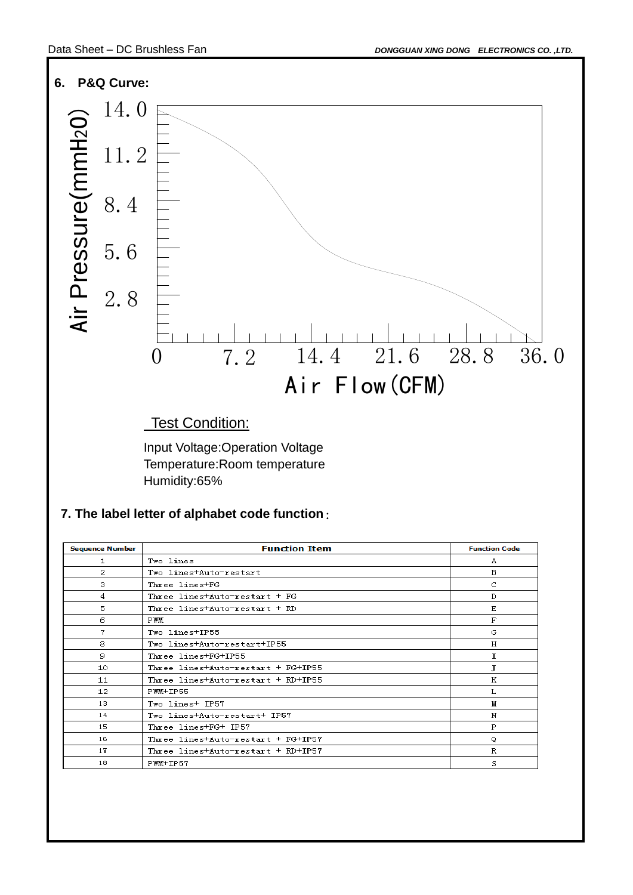18

PWM+IP57

S

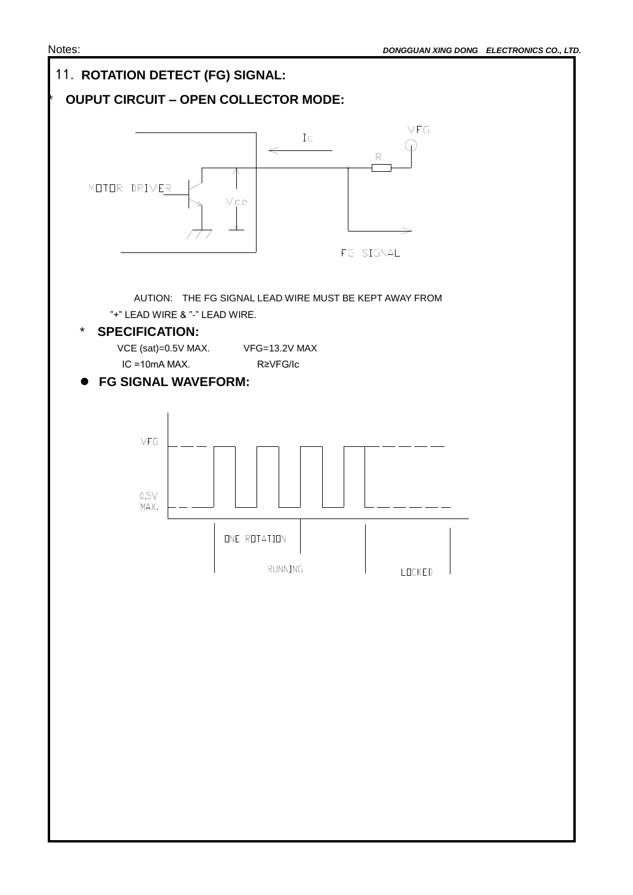

I

I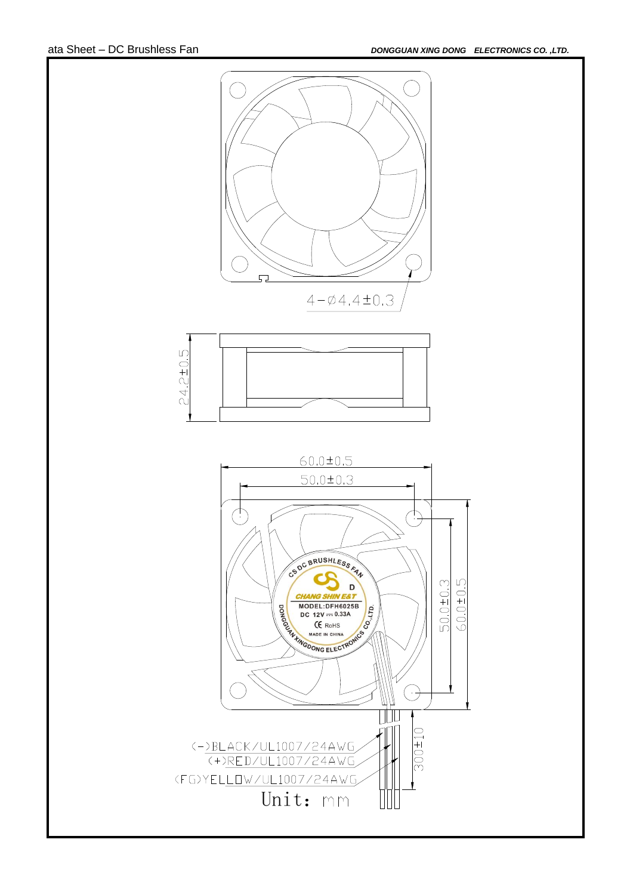